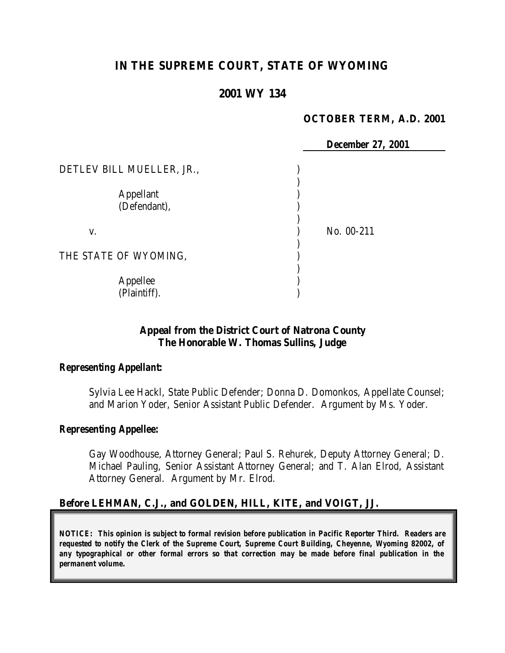# **IN THE SUPREME COURT, STATE OF WYOMING**

## **2001 WY 134**

### **OCTOBER TERM, A.D. 2001**

 *December 27, 2001* DETLEV BILL MUELLER, JR., (1998) ) Appellant ) (Defendant), ) v. ) No. 00-211 ) THE STATE OF WYOMING, ) Appellee ) (Plaintiff). )

### **Appeal from the District Court of Natrona County The Honorable W. Thomas Sullins, Judge**

#### *Representing Appellant:*

Sylvia Lee Hackl, State Public Defender; Donna D. Domonkos, Appellate Counsel; and Marion Yoder, Senior Assistant Public Defender. Argument by Ms. Yoder.

### *Representing Appellee:*

Gay Woodhouse, Attorney General; Paul S. Rehurek, Deputy Attorney General; D. Michael Pauling, Senior Assistant Attorney General; and T. Alan Elrod, Assistant Attorney General. Argument by Mr. Elrod.

### **Before LEHMAN, C.J., and GOLDEN, HILL, KITE, and VOIGT, JJ.**

*NOTICE: This opinion is subject to formal revision before publication in Pacific Reporter Third. Readers are requested to notify the Clerk of the Supreme Court, Supreme Court Building, Cheyenne, Wyoming 82002, of any typographical or other formal errors so that correction may be made before final publication in the permanent volume.*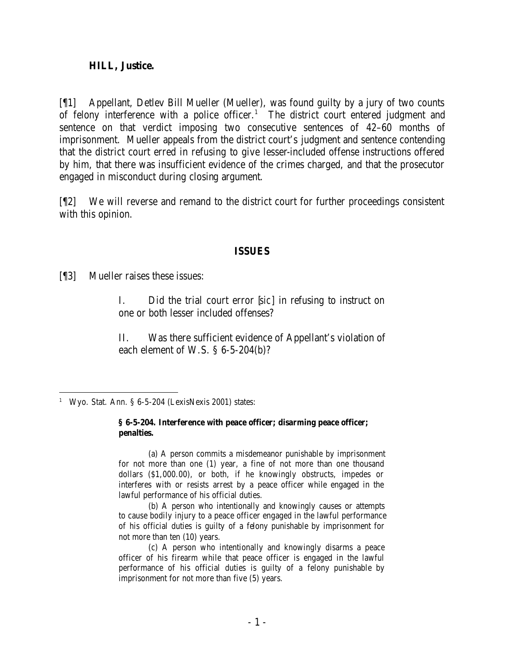#### **HILL, Justice.**

[¶1] Appellant, Detlev Bill Mueller (Mueller), was found guilty by a jury of two counts of felony interference with a police officer.<sup>1</sup> The district court entered judgment and sentence on that verdict imposing two consecutive sentences of 42–60 months of imprisonment. Mueller appeals from the district court's judgment and sentence contending that the district court erred in refusing to give lesser-included offense instructions offered by him, that there was insufficient evidence of the crimes charged, and that the prosecutor engaged in misconduct during closing argument.

[¶2] We will reverse and remand to the district court for further proceedings consistent with this opinion.

#### **ISSUES**

[¶3] Mueller raises these issues:

I. Did the trial court error [*sic*] in refusing to instruct on one or both lesser included offenses?

II. Was there sufficient evidence of Appellant's violation of each element of W.S. § 6-5-204(b)?

#### **§ 6-5-204. Interference with peace officer; disarming peace officer; penalties.**

(a) A person commits a misdemeanor punishable by imprisonment for not more than one (1) year, a fine of not more than one thousand dollars (\$1,000.00), or both, if he knowingly obstructs, impedes or interferes with or resists arrest by a peace officer while engaged in the lawful performance of his official duties.

(b) A person who intentionally and knowingly causes or attempts to cause bodily injury to a peace officer engaged in the lawful performance of his official duties is guilty of a felony punishable by imprisonment for not more than ten (10) years.

(c) A person who intentionally and knowingly disarms a peace officer of his firearm while that peace officer is engaged in the lawful performance of his official duties is guilty of a felony punishable by imprisonment for not more than five (5) years.

 <sup>1</sup> Wyo. Stat. Ann. § 6-5-204 (LexisNexis 2001) states: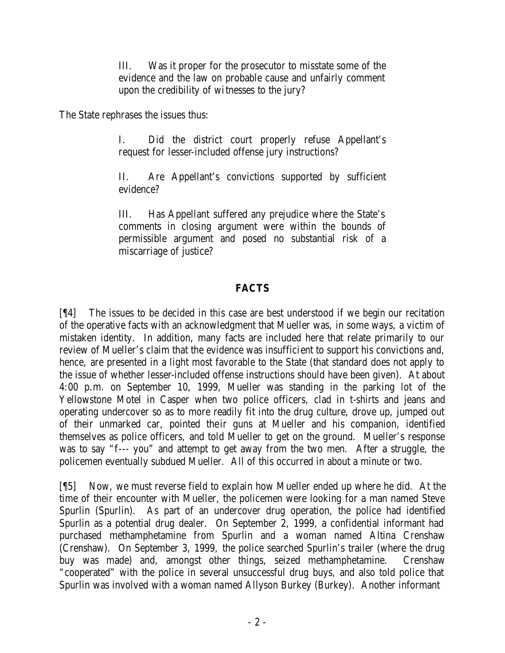III. Was it proper for the prosecutor to misstate some of the evidence and the law on probable cause and unfairly comment upon the credibility of witnesses to the jury?

The State rephrases the issues thus:

I. Did the district court properly refuse Appellant's request for lesser-included offense jury instructions?

II. Are Appellant's convictions supported by sufficient evidence?

III. Has Appellant suffered any prejudice where the State's comments in closing argument were within the bounds of permissible argument and posed no substantial risk of a miscarriage of justice?

### **FACTS**

[¶4] The issues to be decided in this case are best understood if we begin our recitation of the operative facts with an acknowledgment that Mueller was, in some ways, a victim of mistaken identity. In addition, many facts are included here that relate primarily to our review of Mueller's claim that the evidence was insufficient to support his convictions and, hence, are presented in a light most favorable to the State (that standard does not apply to the issue of whether lesser-included offense instructions should have been given). At about 4:00 p.m. on September 10, 1999, Mueller was standing in the parking lot of the Yellowstone Motel in Casper when two police officers, clad in t-shirts and jeans and operating undercover so as to more readily fit into the drug culture, drove up, jumped out of their unmarked car, pointed their guns at Mueller and his companion, identified themselves as police officers, and told Mueller to get on the ground. Mueller's response was to say "f--- you" and attempt to get away from the two men. After a struggle, the policemen eventually subdued Mueller. All of this occurred in about a minute or two.

[¶5] Now, we must reverse field to explain how Mueller ended up where he did. At the time of their encounter with Mueller, the policemen were looking for a man named Steve Spurlin (Spurlin). As part of an undercover drug operation, the police had identified Spurlin as a potential drug dealer. On September 2, 1999, a confidential informant had purchased methamphetamine from Spurlin and a woman named Altina Crenshaw (Crenshaw). On September 3, 1999, the police searched Spurlin's trailer (where the drug buy was made) and, amongst other things, seized methamphetamine. Crenshaw "cooperated" with the police in several unsuccessful drug buys, and also told police that Spurlin was involved with a woman named Allyson Burkey (Burkey). Another informant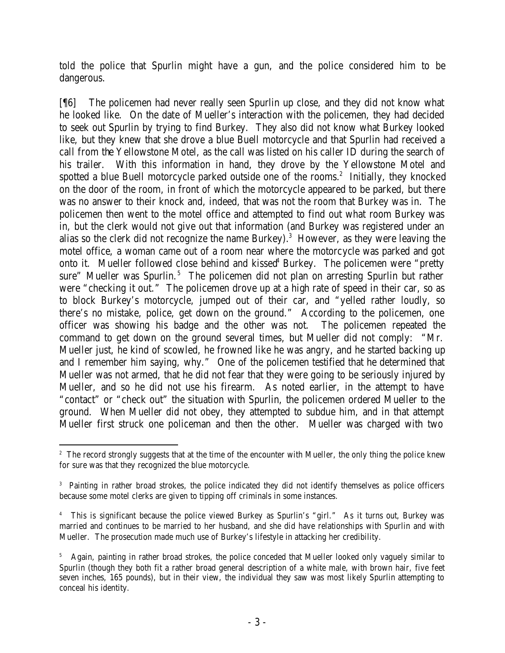told the police that Spurlin might have a gun, and the police considered him to be dangerous.

[¶6] The policemen had never really seen Spurlin up close, and they did not know what he looked like. On the date of Mueller's interaction with the policemen, they had decided to seek out Spurlin by trying to find Burkey. They also did not know what Burkey looked like, but they knew that she drove a blue Buell motorcycle and that Spurlin had received a call from the Yellowstone Motel, as the call was listed on his caller ID during the search of his trailer. With this information in hand, they drove by the Yellowstone Motel and spotted a blue Buell motorcycle parked outside one of the rooms.<sup>2</sup> Initially, they knocked on the door of the room, in front of which the motorcycle appeared to be parked, but there was no answer to their knock and, indeed, that was not the room that Burkey was in. The policemen then went to the motel office and attempted to find out what room Burkey was in, but the clerk would not give out that information (and Burkey was registered under an alias so the clerk did not recognize the name Burkey).<sup>3</sup> However, as they were leaving the motel office, a woman came out of a room near where the motorcycle was parked and got onto it. Mueller followed close behind and kissed<sup>4</sup> Burkey. The policemen were "pretty sure" Mueller was Spurlin.<sup>5</sup> The policemen did not plan on arresting Spurlin but rather were "checking it out." The policemen drove up at a high rate of speed in their car, so as to block Burkey's motorcycle, jumped out of their car, and "yelled rather loudly, so there's no mistake, police, get down on the ground." According to the policemen, one officer was showing his badge and the other was not. The policemen repeated the command to get down on the ground several times, but Mueller did not comply: "Mr. Mueller just, he kind of scowled, he frowned like he was angry, and he started backing up and I remember him saying, why." One of the policemen testified that he determined that Mueller was not armed, that he did not fear that they were going to be seriously injured by Mueller, and so he did not use his firearm. As noted earlier, in the attempt to have "contact" or "check out" the situation with Spurlin, the policemen ordered Mueller to the ground. When Mueller did not obey, they attempted to subdue him, and in that attempt Mueller first struck one policeman and then the other. Mueller was charged with two

 <sup>2</sup> The record strongly suggests that at the time of the encounter with Mueller, the only thing the police knew for sure was that they recognized the blue motorcycle.

<sup>3</sup> Painting in rather broad strokes, the police indicated they did not identify themselves as police officers because some motel clerks are given to tipping off criminals in some instances.

<sup>4</sup> This is significant because the police viewed Burkey as Spurlin's "girl." As it turns out, Burkey was married and continues to be married to her husband, and she did have relationships with Spurlin and with Mueller. The prosecution made much use of Burkey's lifestyle in attacking her credibility.

<sup>5</sup> Again, painting in rather broad strokes, the police conceded that Mueller looked only vaguely similar to Spurlin (though they both fit a rather broad general description of a white male, with brown hair, five feet seven inches, 165 pounds), but in their view, the individual they saw was most likely Spurlin attempting to conceal his identity.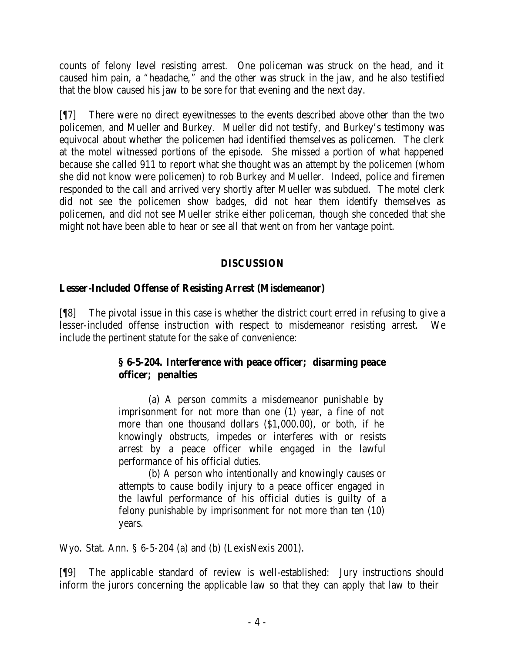counts of felony level resisting arrest. One policeman was struck on the head, and it caused him pain, a "headache," and the other was struck in the jaw, and he also testified that the blow caused his jaw to be sore for that evening and the next day.

[¶7] There were no direct eyewitnesses to the events described above other than the two policemen, and Mueller and Burkey. Mueller did not testify, and Burkey's testimony was equivocal about whether the policemen had identified themselves as policemen. The clerk at the motel witnessed portions of the episode. She missed a portion of what happened because she called 911 to report what she thought was an attempt by the policemen (whom she did not know were policemen) to rob Burkey and Mueller. Indeed, police and firemen responded to the call and arrived very shortly after Mueller was subdued. The motel clerk did not see the policemen show badges, did not hear them identify themselves as policemen, and did not see Mueller strike either policeman, though she conceded that she might not have been able to hear or see all that went on from her vantage point.

### **DISCUSSION**

## **Lesser-Included Offense of Resisting Arrest (Misdemeanor)**

[¶8] The pivotal issue in this case is whether the district court erred in refusing to give a lesser-included offense instruction with respect to misdemeanor resisting arrest. We include the pertinent statute for the sake of convenience:

## **§ 6-5-204. Interference with peace officer; disarming peace officer; penalties**

(a) A person commits a misdemeanor punishable by imprisonment for not more than one (1) year, a fine of not more than one thousand dollars (\$1,000.00), or both, if he knowingly obstructs, impedes or interferes with or resists arrest by a peace officer while engaged in the lawful performance of his official duties.

(b) A person who intentionally and knowingly causes or attempts to cause bodily injury to a peace officer engaged in the lawful performance of his official duties is guilty of a felony punishable by imprisonment for not more than ten (10) years.

Wyo. Stat. Ann. § 6-5-204 (a) and (b) (LexisNexis 2001).

[¶9] The applicable standard of review is well-established: Jury instructions should inform the jurors concerning the applicable law so that they can apply that law to their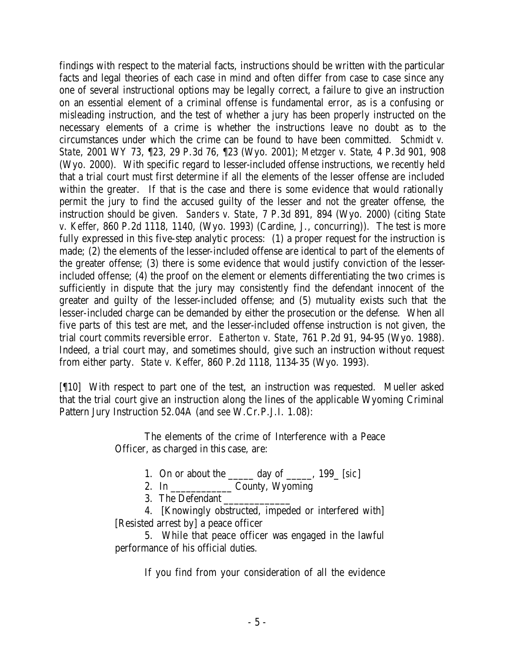findings with respect to the material facts, instructions should be written with the particular facts and legal theories of each case in mind and often differ from case to case since any one of several instructional options may be legally correct, a failure to give an instruction on an essential element of a criminal offense is fundamental error, as is a confusing or misleading instruction, and the test of whether a jury has been properly instructed on the necessary elements of a crime is whether the instructions leave no doubt as to the circumstances under which the crime can be found to have been committed. *Schmidt v. State*, 2001 WY 73, ¶23, 29 P.3d 76, ¶23 (Wyo. 2001); *Metzger v. State*, 4 P.3d 901, 908 (Wyo. 2000). With specific regard to lesser-included offense instructions, we recently held that a trial court must first determine if all the elements of the lesser offense are included within the greater. If that is the case and there is some evidence that would rationally permit the jury to find the accused guilty of the lesser and not the greater offense, the instruction should be given. *Sanders v. State*, 7 P.3d 891, 894 (Wyo. 2000) (citing *State v. Keffer*, 860 P.2d 1118, 1140, (Wyo. 1993) (Cardine, J., concurring)). The test is more fully expressed in this five-step analytic process: (1) a proper request for the instruction is made; (2) the elements of the lesser-included offense are identical to part of the elements of the greater offense; (3) there is some evidence that would justify conviction of the lesserincluded offense; (4) the proof on the element or elements differentiating the two crimes is sufficiently in dispute that the jury may consistently find the defendant innocent of the greater and guilty of the lesser-included offense; and (5) mutuality exists such that the lesser-included charge can be demanded by either the prosecution or the defense. When all five parts of this test are met, and the lesser-included offense instruction is not given, the trial court commits reversible error. *Eatherton v. State*, 761 P.2d 91, 94-95 (Wyo. 1988). Indeed, a trial court may, and sometimes should, give such an instruction without request from either party. *State v. Keffer*, 860 P.2d 1118, 1134-35 (Wyo. 1993).

[¶10] With respect to part one of the test, an instruction was requested. Mueller asked that the trial court give an instruction along the lines of the applicable Wyoming Criminal Pattern Jury Instruction 52.04A (and *see* W.Cr.P.J.I. 1.08):

> The elements of the crime of Interference with a Peace Officer, as charged in this case, are:

> > 1. On or about the \_\_\_\_\_ day of \_\_\_\_\_, 199\_ [*sic*]

2. In \_\_\_\_\_\_\_\_\_\_\_\_ County, Wyoming

3. The Defendant

4. [Knowingly obstructed, impeded or interfered with] [Resisted arrest by] a peace officer

5. While that peace officer was engaged in the lawful performance of his official duties.

If you find from your consideration of all the evidence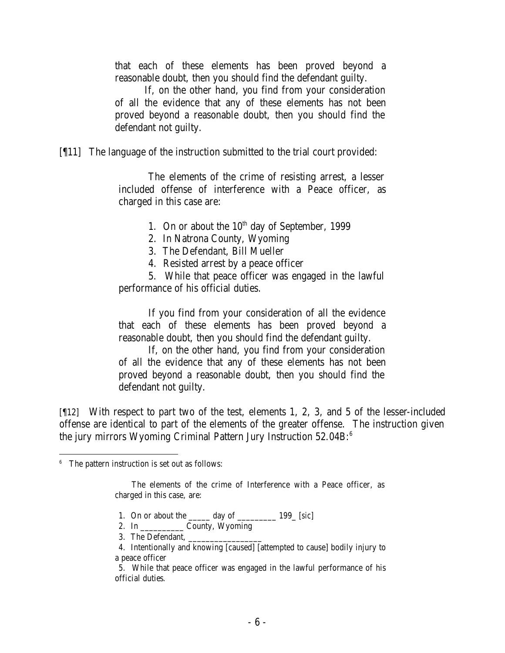that each of these elements has been proved beyond a reasonable doubt, then you should find the defendant guilty.

If, on the other hand, you find from your consideration of all the evidence that any of these elements has not been proved beyond a reasonable doubt, then you should find the defendant not guilty.

[¶11] The language of the instruction submitted to the trial court provided:

The elements of the crime of resisting arrest, a lesser included offense of interference with a Peace officer, as charged in this case are:

1. On or about the  $10^{th}$  day of September, 1999

- 2. In Natrona County, Wyoming
- 3. The Defendant, Bill Mueller
- 4. Resisted arrest by a peace officer

5. While that peace officer was engaged in the lawful performance of his official duties.

If you find from your consideration of all the evidence that each of these elements has been proved beyond a reasonable doubt, then you should find the defendant guilty.

If, on the other hand, you find from your consideration of all the evidence that any of these elements has not been proved beyond a reasonable doubt, then you should find the defendant not guilty.

[¶12] With respect to part two of the test, elements 1, 2, 3, and 5 of the lesser-included offense are identical to part of the elements of the greater offense. The instruction given the jury mirrors Wyoming Criminal Pattern Jury Instruction 52.04B:<sup>6</sup>

 The elements of the crime of Interference with a Peace officer, as charged in this case, are:

- 1. On or about the \_\_\_\_\_ day of \_\_\_\_\_\_\_\_\_ 199\_ [*sic*]
- 2. In \_\_\_\_\_\_\_\_\_\_ County, Wyoming
- 3. The Defendant,
- 4. Intentionally and knowing [caused] [attempted to cause] bodily injury to a peace officer

5. While that peace officer was engaged in the lawful performance of his official duties.

<sup>&</sup>lt;sup>6</sup> The pattern instruction is set out as follows: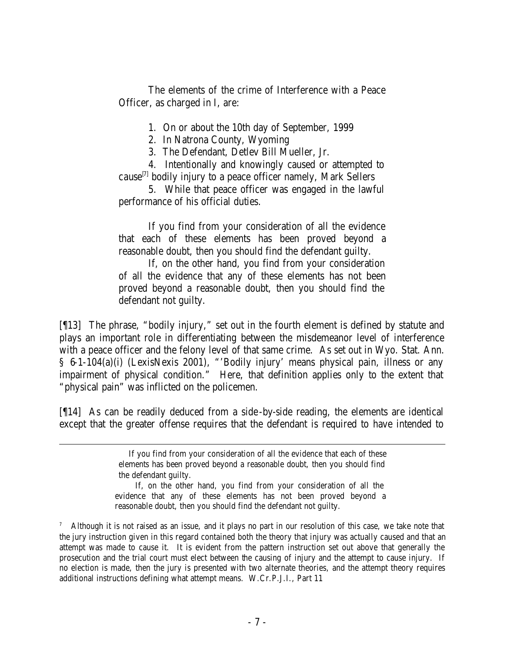The elements of the crime of Interference with a Peace Officer, as charged in I, are:

1. On or about the 10th day of September, 1999

2. In Natrona County, Wyoming

3. The Defendant, Detlev Bill Mueller, Jr.

4. Intentionally and knowingly caused or attempted to cause<sup>[7]</sup> bodily injury to a peace officer namely, Mark Sellers

5. While that peace officer was engaged in the lawful performance of his official duties.

If you find from your consideration of all the evidence that each of these elements has been proved beyond a reasonable doubt, then you should find the defendant guilty.

If, on the other hand, you find from your consideration of all the evidence that any of these elements has not been proved beyond a reasonable doubt, then you should find the defendant not guilty.

[¶13] The phrase, "bodily injury," set out in the fourth element is defined by statute and plays an important role in differentiating between the misdemeanor level of interference with a peace officer and the felony level of that same crime. As set out in Wyo. Stat. Ann. § 6-1-104(a)(i) (LexisNexis 2001), "'Bodily injury' means physical pain, illness or any impairment of physical condition." Here, that definition applies only to the extent that "physical pain" was inflicted on the policemen.

[¶14] As can be readily deduced from a side-by-side reading, the elements are identical except that the greater offense requires that the defendant is required to have intended to

 If, on the other hand, you find from your consideration of all the evidence that any of these elements has not been proved beyond a reasonable doubt, then you should find the defendant not guilty.

7 Although it is not raised as an issue, and it plays no part in our resolution of this case, we take note that the jury instruction given in this regard contained both the theory that injury was actually caused and that an attempt was made to cause it. It is evident from the pattern instruction set out above that generally the prosecution and the trial court must elect between the causing of injury and the attempt to cause injury. If no election is made, then the jury is presented with two alternate theories, and the attempt theory requires additional instructions defining what attempt means. W.Cr.P.J.I., Part 11

If you find from your consideration of all the evidence that each of these elements has been proved beyond a reasonable doubt, then you should find the defendant guilty.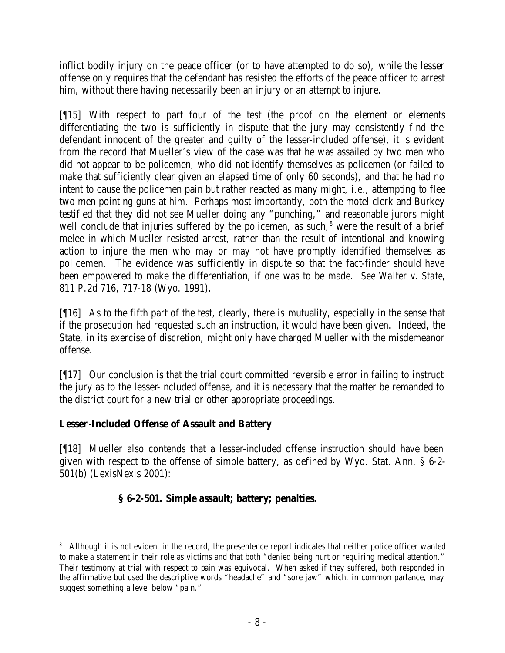inflict bodily injury on the peace officer (or to have attempted to do so), while the lesser offense only requires that the defendant has resisted the efforts of the peace officer to arrest him, without there having necessarily been an injury or an attempt to injure.

[¶15] With respect to part four of the test (the proof on the element or elements differentiating the two is sufficiently in dispute that the jury may consistently find the defendant innocent of the greater and guilty of the lesser-included offense), it is evident from the record that Mueller's view of the case was that he was assailed by two men who did not appear to be policemen, who did not identify themselves as policemen (or failed to make that sufficiently clear given an elapsed time of only 60 seconds), and that he had no intent to cause the policemen pain but rather reacted as many might, *i.e.*, attempting to flee two men pointing guns at him. Perhaps most importantly, both the motel clerk and Burkey testified that they did not see Mueller doing any "punching," and reasonable jurors might well conclude that injuries suffered by the policemen, as such, $<sup>8</sup>$  were the result of a brief</sup> melee in which Mueller resisted arrest, rather than the result of intentional and knowing action to injure the men who may or may not have promptly identified themselves as policemen. The evidence was sufficiently in dispute so that the fact-finder should have been empowered to make the differentiation, if one was to be made. *See Walter v. State*, 811 P.2d 716, 717-18 (Wyo. 1991).

[¶16] As to the fifth part of the test, clearly, there is mutuality, especially in the sense that if the prosecution had requested such an instruction, it would have been given. Indeed, the State, in its exercise of discretion, might only have charged Mueller with the misdemeanor offense.

[¶17] Our conclusion is that the trial court committed reversible error in failing to instruct the jury as to the lesser-included offense, and it is necessary that the matter be remanded to the district court for a new trial or other appropriate proceedings.

# **Lesser-Included Offense of Assault and Battery**

[¶18] Mueller also contends that a lesser-included offense instruction should have been given with respect to the offense of simple battery, as defined by Wyo. Stat. Ann. § 6-2- 501(b) (LexisNexis 2001):

# **§ 6-2-501. Simple assault; battery; penalties.**

 <sup>8</sup> Although it is not evident in the record, the presentence report indicates that neither police officer wanted to make a statement in their role as victims and that both "denied being hurt or requiring medical attention." Their testimony at trial with respect to pain was equivocal. When asked if they suffered, both responded in the affirmative but used the descriptive words "headache" and "sore jaw" which, in common parlance, may suggest something a level below "pain."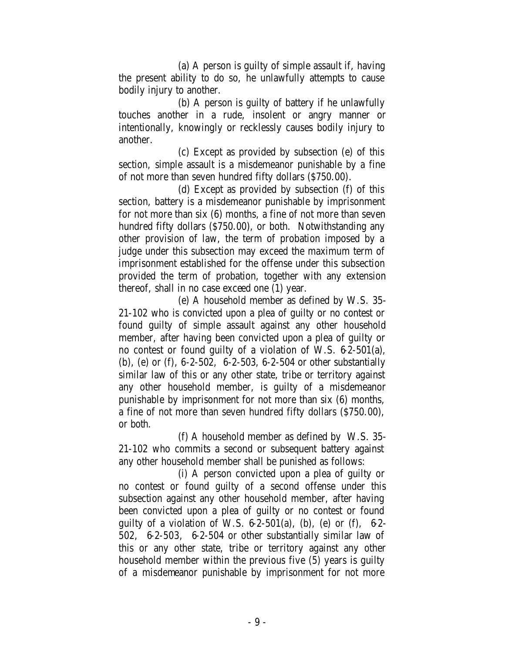(a) A person is guilty of simple assault if, having the present ability to do so, he unlawfully attempts to cause bodily injury to another.

(b) A person is guilty of battery if he unlawfully touches another in a rude, insolent or angry manner or intentionally, knowingly or recklessly causes bodily injury to another.

(c) Except as provided by subsection (e) of this section, simple assault is a misdemeanor punishable by a fine of not more than seven hundred fifty dollars (\$750.00).

(d) Except as provided by subsection (f) of this section, battery is a misdemeanor punishable by imprisonment for not more than six (6) months, a fine of not more than seven hundred fifty dollars (\$750.00), or both. Notwithstanding any other provision of law, the term of probation imposed by a judge under this subsection may exceed the maximum term of imprisonment established for the offense under this subsection provided the term of probation, together with any extension thereof, shall in no case exceed one (1) year.

(e) A household member as defined by W.S. 35- 21-102 who is convicted upon a plea of guilty or no contest or found guilty of simple assault against any other household member, after having been convicted upon a plea of guilty or no contest or found guilty of a violation of W.S. 6-2-501(a), (b), (e) or (f), 6-2-502, 6-2-503, 6-2-504 or other substantially similar law of this or any other state, tribe or territory against any other household member, is guilty of a misdemeanor punishable by imprisonment for not more than six (6) months, a fine of not more than seven hundred fifty dollars (\$750.00), or both.

(f) A household member as defined by W.S. 35- 21-102 who commits a second or subsequent battery against any other household member shall be punished as follows:

(i) A person convicted upon a plea of guilty or no contest or found guilty of a second offense under this subsection against any other household member, after having been convicted upon a plea of guilty or no contest or found guilty of a violation of W.S.  $6-2-501(a)$ , (b), (e) or (f),  $6-2-501(a)$ 502, 6-2-503, 6-2-504 or other substantially similar law of this or any other state, tribe or territory against any other household member within the previous five (5) years is guilty of a misdemeanor punishable by imprisonment for not more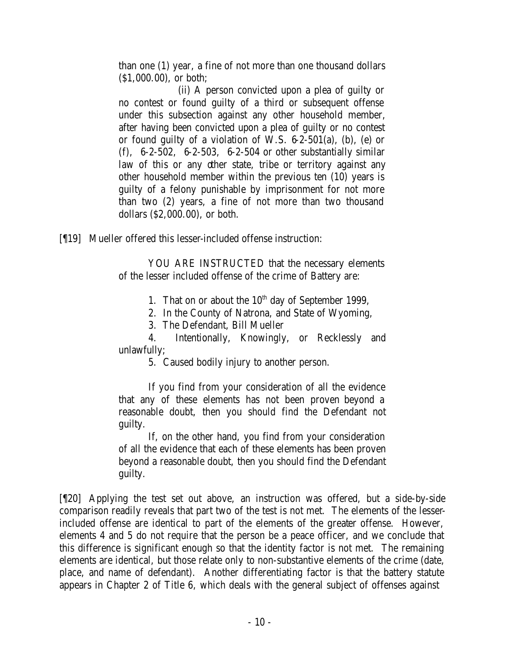than one (1) year, a fine of not more than one thousand dollars (\$1,000.00), or both;

(ii) A person convicted upon a plea of guilty or no contest or found guilty of a third or subsequent offense under this subsection against any other household member, after having been convicted upon a plea of guilty or no contest or found guilty of a violation of W.S. 6-2-501(a), (b), (e) or (f), 6-2-502, 6-2-503, 6-2-504 or other substantially similar law of this or any other state, tribe or territory against any other household member within the previous ten (10) years is guilty of a felony punishable by imprisonment for not more than two (2) years, a fine of not more than two thousand dollars (\$2,000.00), or both.

[¶19] Mueller offered this lesser-included offense instruction:

YOU ARE INSTRUCTED that the necessary elements of the lesser included offense of the crime of Battery are:

1. That on or about the  $10<sup>th</sup>$  day of September 1999,

2. In the County of Natrona, and State of Wyoming,

3. The Defendant, Bill Mueller

4. Intentionally, Knowingly, or Recklessly and unlawfully;

5. Caused bodily injury to another person.

If you find from your consideration of all the evidence that any of these elements has not been proven beyond a reasonable doubt, then you should find the Defendant not guilty.

If, on the other hand, you find from your consideration of all the evidence that each of these elements has been proven beyond a reasonable doubt, then you should find the Defendant guilty.

[¶20] Applying the test set out above, an instruction was offered, but a side-by-side comparison readily reveals that part two of the test is not met. The elements of the lesserincluded offense are identical to part of the elements of the greater offense. However, elements 4 and 5 do not require that the person be a peace officer, and we conclude that this difference is significant enough so that the identity factor is not met. The remaining elements are identical, but those relate only to non-substantive elements of the crime (date, place, and name of defendant). Another differentiating factor is that the battery statute appears in Chapter 2 of Title 6, which deals with the general subject of offenses against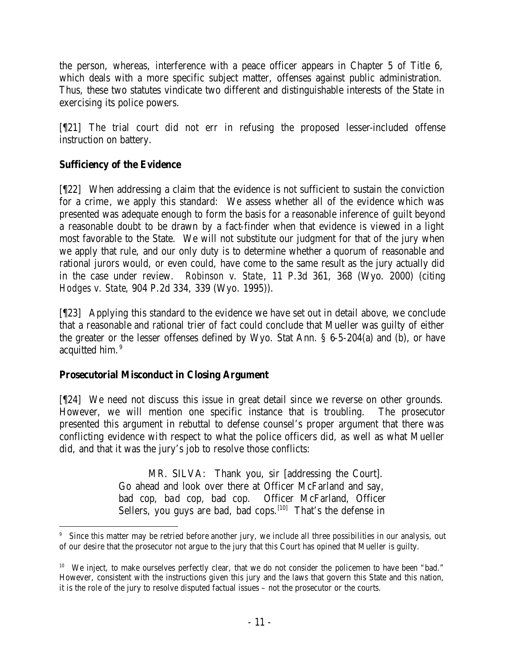the person, whereas, interference with a peace officer appears in Chapter 5 of Title 6, which deals with a more specific subject matter, offenses against public administration. Thus, these two statutes vindicate two different and distinguishable interests of the State in exercising its police powers.

[¶21] The trial court did not err in refusing the proposed lesser-included offense instruction on battery.

## **Sufficiency of the Evidence**

[¶22] When addressing a claim that the evidence is not sufficient to sustain the conviction for a crime, we apply this standard: We assess whether all of the evidence which was presented was adequate enough to form the basis for a reasonable inference of guilt beyond a reasonable doubt to be drawn by a fact-finder when that evidence is viewed in a light most favorable to the State. We will not substitute our judgment for that of the jury when we apply that rule, and our only duty is to determine whether a quorum of reasonable and rational jurors would, or even could, have come to the same result as the jury actually did in the case under review. *Robinson v. State*, 11 P.3d 361, 368 (Wyo. 2000) (citing *Hodges v. State*, 904 P.2d 334, 339 (Wyo. 1995)).

[¶23] Applying this standard to the evidence we have set out in detail above, we conclude that a reasonable and rational trier of fact could conclude that Mueller was guilty of either the greater or the lesser offenses defined by Wyo. Stat Ann. § 6-5-204(a) and (b), or have acquitted him.<sup>9</sup>

# **Prosecutorial Misconduct in Closing Argument**

[¶24] We need not discuss this issue in great detail since we reverse on other grounds. However, we will mention one specific instance that is troubling. The prosecutor presented this argument in rebuttal to defense counsel's proper argument that there was conflicting evidence with respect to what the police officers did, as well as what Mueller did, and that it was the jury's job to resolve those conflicts:

> MR. SILVA: Thank you, sir [addressing the Court]. Go ahead and look over there at Officer McFarland and say, bad cop, bad cop, bad cop. Officer McFarland, Officer Sellers, you guys are bad, bad cops.<sup>[10]</sup> That's the defense in

 9 Since this matter may be retried before another jury, we include all three possibilities in our analysis, out of our desire that the prosecutor not argue to the jury that this Court has opined that Mueller is guilty.

<sup>&</sup>lt;sup>10</sup> We inject, to make ourselves perfectly clear, that we do not consider the policemen to have been "bad." However, consistent with the instructions given this jury and the laws that govern this State and this nation, it is the role of the jury to resolve disputed factual issues – not the prosecutor or the courts.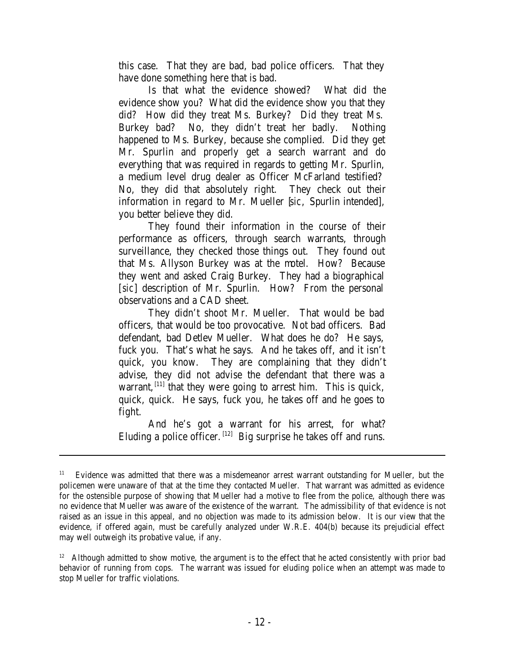this case. That they are bad, bad police officers. That they have done something here that is bad.

Is that what the evidence showed? What did the evidence show you? What did the evidence show you that they did? How did they treat Ms. Burkey? Did they treat Ms. Burkey bad? No, they didn't treat her badly. Nothing happened to Ms. Burkey, because she complied. Did they get Mr. Spurlin and properly get a search warrant and do everything that was required in regards to getting Mr. Spurlin, a medium level drug dealer as Officer McFarland testified? No, they did that absolutely right. They check out their information in regard to Mr. Mueller [*sic*, Spurlin intended], you better believe they did.

They found their information in the course of their performance as officers, through search warrants, through surveillance, they checked those things out. They found out that Ms. Allyson Burkey was at the motel. How? Because they went and asked Craig Burkey. They had a biographical [*sic*] description of Mr. Spurlin. How? From the personal observations and a CAD sheet.

They didn't shoot Mr. Mueller. That would be bad officers, that would be too provocative. Not bad officers. Bad defendant, bad Detlev Mueller. What does he do? He says, fuck you. That's what he says. And he takes off, and it isn't quick, you know. They are complaining that they didn't advise, they did not advise the defendant that there was a warrant,  $^{[11]}$  that they were going to arrest him. This is quick, quick, quick. He says, fuck you, he takes off and he goes to fight.

And he's got a warrant for his arrest, for what? Eluding a police officer.  $[12]$  Big surprise he takes off and runs.

<sup>11</sup> Evidence was admitted that there was a misdemeanor arrest warrant outstanding for Mueller, but the policemen were unaware of that at the time they contacted Mueller. That warrant was admitted as evidence for the ostensible purpose of showing that Mueller had a motive to flee from the police, although there was no evidence that Mueller was aware of the existence of the warrant. The admissibility of that evidence is not raised as an issue in this appeal, and no objection was made to its admission below. It is our view that the evidence, if offered again, must be carefully analyzed under W.R.E. 404(b) because its prejudicial effect may well outweigh its probative value, if any.

<sup>&</sup>lt;sup>12</sup> Although admitted to show motive, the argument is to the effect that he acted consistently with prior bad behavior of running from cops. The warrant was issued for eluding police when an attempt was made to stop Mueller for traffic violations.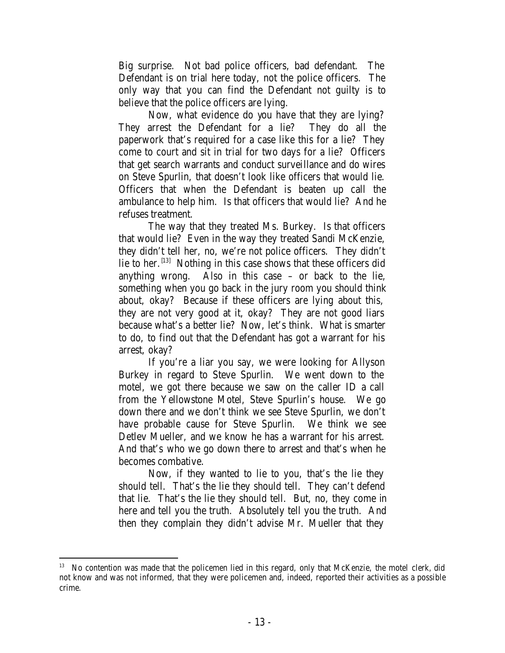Big surprise. Not bad police officers, bad defendant. The Defendant is on trial here today, not the police officers. The only way that you can find the Defendant not guilty is to believe that the police officers are lying.

Now, what evidence do you have that they are lying? They arrest the Defendant for a lie? They do all the paperwork that's required for a case like this for a lie? They come to court and sit in trial for two days for a lie? Officers that get search warrants and conduct surveillance and do wires on Steve Spurlin, that doesn't look like officers that would lie. Officers that when the Defendant is beaten up call the ambulance to help him. Is that officers that would lie? And he refuses treatment.

The way that they treated Ms. Burkey. Is that officers that would lie? Even in the way they treated Sandi McKenzie, they didn't tell her, no, we're not police officers. They didn't lie to her.  $[13]$  Nothing in this case shows that these officers did anything wrong. Also in this case – or back to the lie, something when you go back in the jury room you should think about, okay? Because if these officers are lying about this, they are not very good at it, okay? They are not good liars because what's a better lie? Now, let's think. What is smarter to do, to find out that the Defendant has got a warrant for his arrest, okay?

If you're a liar you say, we were looking for Allyson Burkey in regard to Steve Spurlin. We went down to the motel, we got there because we saw on the caller ID a call from the Yellowstone Motel, Steve Spurlin's house. We go down there and we don't think we see Steve Spurlin, we don't have probable cause for Steve Spurlin. We think we see Detlev Mueller, and we know he has a warrant for his arrest. And that's who we go down there to arrest and that's when he becomes combative.

Now, if they wanted to lie to you, that's the lie they should tell. That's the lie they should tell. They can't defend that lie. That's the lie they should tell. But, no, they come in here and tell you the truth. Absolutely tell you the truth. And then they complain they didn't advise Mr. Mueller that they

<sup>&</sup>lt;sup>13</sup> No contention was made that the policemen lied in this regard, only that McKenzie, the motel clerk, did not know and was not informed, that they were policemen and, indeed, reported their activities as a possible crime.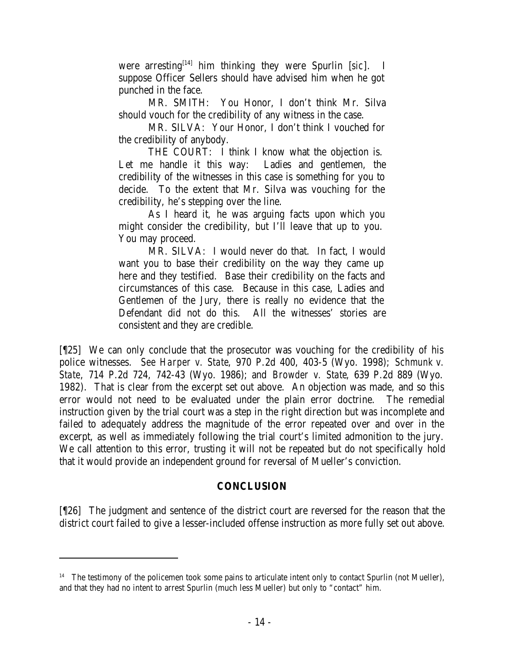were arresting[14] him thinking they were Spurlin [*sic*]. I suppose Officer Sellers should have advised him when he got punched in the face.

MR. SMITH: You Honor, I don't think Mr. Silva should vouch for the credibility of any witness in the case.

MR. SILVA: Your Honor, I don't think I vouched for the credibility of anybody.

THE COURT: I think I know what the objection is. Let me handle it this way: Ladies and gentlemen, the credibility of the witnesses in this case is something for you to decide. To the extent that Mr. Silva was vouching for the credibility, he's stepping over the line.

As I heard it, he was arguing facts upon which you might consider the credibility, but I'll leave that up to you. You may proceed.

MR. SILVA: I would never do that. In fact, I would want you to base their credibility on the way they came up here and they testified. Base their credibility on the facts and circumstances of this case. Because in this case, Ladies and Gentlemen of the Jury, there is really no evidence that the Defendant did not do this. All the witnesses' stories are consistent and they are credible.

[¶25] We can only conclude that the prosecutor was vouching for the credibility of his police witnesses. *See Harper v. State*, 970 P.2d 400, 403-5 (Wyo. 1998); *Schmunk v. State*, 714 P.2d 724, 742-43 (Wyo. 1986); and *Browder v. State*, 639 P.2d 889 (Wyo. 1982). That is clear from the excerpt set out above. An objection was made, and so this error would not need to be evaluated under the plain error doctrine. The remedial instruction given by the trial court was a step in the right direction but was incomplete and failed to adequately address the magnitude of the error repeated over and over in the excerpt, as well as immediately following the trial court's limited admonition to the jury. We call attention to this error, trusting it will not be repeated but do not specifically hold that it would provide an independent ground for reversal of Mueller's conviction.

### **CONCLUSION**

[¶26] The judgment and sentence of the district court are reversed for the reason that the district court failed to give a lesser-included offense instruction as more fully set out above.

<sup>&</sup>lt;sup>14</sup> The testimony of the policemen took some pains to articulate intent only to contact Spurlin (not Mueller), and that they had no intent to arrest Spurlin (much less Mueller) but only to "contact" him.